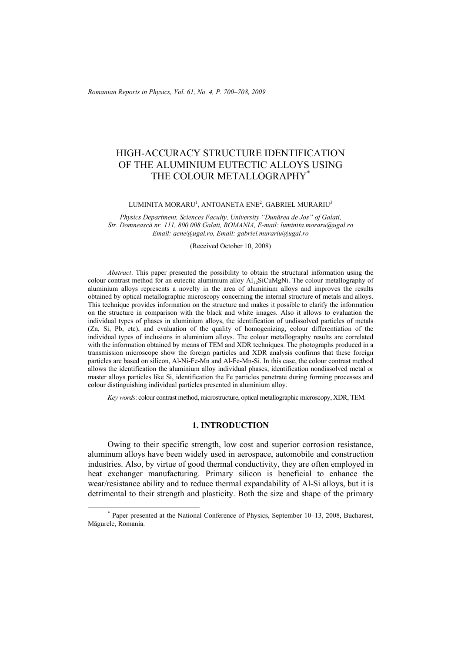# HIGH-ACCURACY STRUCTURE IDENTIFICATION OF THE ALUMINIUM EUTECTIC ALLOYS USING THE COLOUR METALLOGRAPHY\*

#### LUMINITA MORARU<sup>1</sup>, ANTOANETA ENE<sup>2</sup>, GABRIEL MURARIU<sup>3</sup>

*Physics Department, Sciences Faculty, University "Dunărea de Jos" of Galati, Str. Domnească nr. 111, 800 008 Galati, ROMANIA, E-mail: luminita.moraru@ugal.ro Email: aene@ugal.ro, Email: gabriel.murariu@ugal.ro* 

(Received October 10, 2008)

*Abstract*. This paper presented the possibility to obtain the structural information using the colour contrast method for an eutectic aluminium alloy  $A1_{12}SiCuMgNi$ . The colour metallography of aluminium alloys represents a novelty in the area of aluminium alloys and improves the results obtained by optical metallographic microscopy concerning the internal structure of metals and alloys. This technique provides information on the structure and makes it possible to clarify the information on the structure in comparison with the black and white images. Also it allows to evaluation the individual types of phases in aluminium alloys, the identification of undissolved particles of metals (Zn, Si, Pb, etc), and evaluation of the quality of homogenizing, colour differentiation of the individual types of inclusions in aluminium alloys. The colour metallography results are correlated with the information obtained by means of TEM and XDR techniques. The photographs produced in a transmission microscope show the foreign particles and XDR analysis confirms that these foreign particles are based on silicon, Al-Ni-Fe-Mn and Al-Fe-Mn-Si. In this case, the colour contrast method allows the identification the aluminium alloy individual phases, identification nondissolved metal or master alloys particles like Si, identification the Fe particles penetrate during forming processes and colour distinguishing individual particles presented in aluminium alloy.

*Key words*: colour contrast method, microstructure, optical metallographic microscopy, XDR, TEM.

## **1. INTRODUCTION**

Owing to their specific strength, low cost and superior corrosion resistance, aluminum alloys have been widely used in aerospace, automobile and construction industries. Also, by virtue of good thermal conductivity, they are often employed in heat exchanger manufacturing. Primary silicon is beneficial to enhance the wear/resistance ability and to reduce thermal expandability of Al-Si alloys, but it is detrimental to their strength and plasticity. Both the size and shape of the primary

 <sup>\*</sup> Paper presented at the National Conference of Physics, September 10–13, 2008, Bucharest, Măgurele, Romania.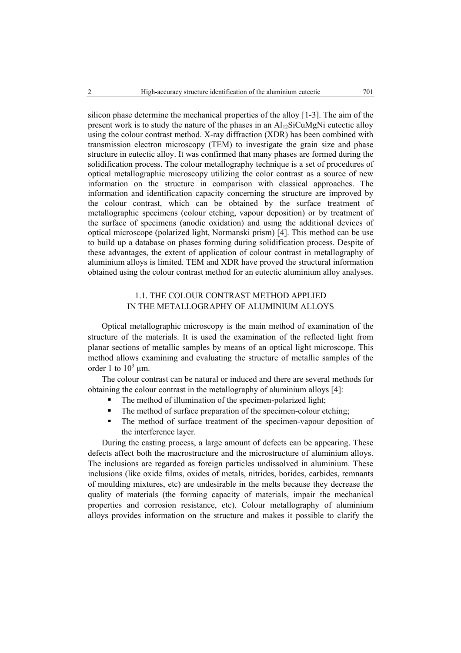silicon phase determine the mechanical properties of the alloy [1-3]. The aim of the present work is to study the nature of the phases in an  $Al<sub>12</sub>SiCuMgNi$  eutectic alloy using the colour contrast method. X-ray diffraction (XDR) has been combined with transmission electron microscopy (TEM) to investigate the grain size and phase structure in eutectic alloy. It was confirmed that many phases are formed during the solidification process. The colour metallography technique is a set of procedures of optical metallographic microscopy utilizing the color contrast as a source of new information on the structure in comparison with classical approaches. The information and identification capacity concerning the structure are improved by the colour contrast, which can be obtained by the surface treatment of metallographic specimens (colour etching, vapour deposition) or by treatment of the surface of specimens (anodic oxidation) and using the additional devices of optical microscope (polarized light, Normanski prism) [4]. This method can be use to build up a database on phases forming during solidification process. Despite of these advantages, the extent of application of colour contrast in metallography of aluminium alloys is limited. TEM and XDR have proved the structural information obtained using the colour contrast method for an eutectic aluminium alloy analyses.

## 1.1. THE COLOUR CONTRAST METHOD APPLIED IN THE METALLOGRAPHY OF ALUMINIUM ALLOYS

Optical metallographic microscopy is the main method of examination of the structure of the materials. It is used the examination of the reflected light from planar sections of metallic samples by means of an optical light microscope. This method allows examining and evaluating the structure of metallic samples of the order 1 to  $10^3 \mu$ m.

The colour contrast can be natural or induced and there are several methods for obtaining the colour contrast in the metallography of aluminium alloys [4]:

- The method of illumination of the specimen-polarized light;
- The method of surface preparation of the specimen-colour etching;
- The method of surface treatment of the specimen-vapour deposition of the interference layer.

During the casting process, a large amount of defects can be appearing. These defects affect both the macrostructure and the microstructure of aluminium alloys. The inclusions are regarded as foreign particles undissolved in aluminium. These inclusions (like oxide films, oxides of metals, nitrides, borides, carbides, remnants of moulding mixtures, etc) are undesirable in the melts because they decrease the quality of materials (the forming capacity of materials, impair the mechanical properties and corrosion resistance, etc). Colour metallography of aluminium alloys provides information on the structure and makes it possible to clarify the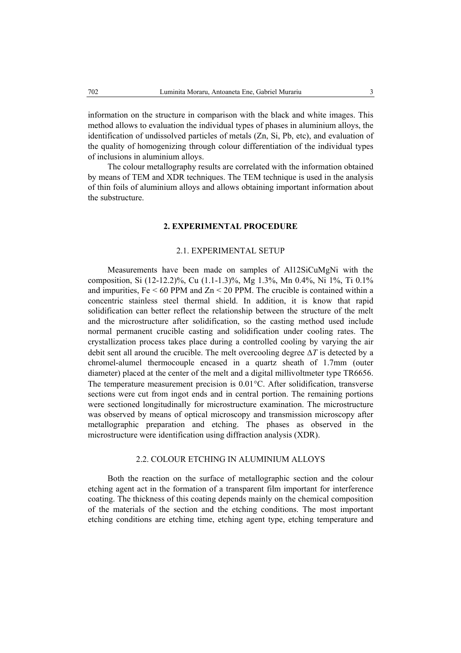information on the structure in comparison with the black and white images. This method allows to evaluation the individual types of phases in aluminium alloys, the identification of undissolved particles of metals (Zn, Si, Pb, etc), and evaluation of the quality of homogenizing through colour differentiation of the individual types of inclusions in aluminium alloys.

The colour metallography results are correlated with the information obtained by means of TEM and XDR techniques. The TEM technique is used in the analysis of thin foils of aluminium alloys and allows obtaining important information about the substructure.

## **2. EXPERIMENTAL PROCEDURE**

## 2.1. EXPERIMENTAL SETUP

Measurements have been made on samples of Al12SiCuMgNi with the composition, Si (12-12.2)%, Cu (1.1-1.3)%, Mg 1.3%, Mn 0.4%, Ni 1%, Ti 0.1% and impurities,  $Fe < 60$  PPM and  $Zn < 20$  PPM. The crucible is contained within a concentric stainless steel thermal shield. In addition, it is know that rapid solidification can better reflect the relationship between the structure of the melt and the microstructure after solidification, so the casting method used include normal permanent crucible casting and solidification under cooling rates. The crystallization process takes place during a controlled cooling by varying the air debit sent all around the crucible. The melt overcooling degree ∆*T* is detected by a chromel-alumel thermocouple encased in a quartz sheath of 1.7mm (outer diameter) placed at the center of the melt and a digital millivoltmeter type TR6656. The temperature measurement precision is 0.01°C. After solidification, transverse sections were cut from ingot ends and in central portion. The remaining portions were sectioned longitudinally for microstructure examination. The microstructure was observed by means of optical microscopy and transmission microscopy after metallographic preparation and etching. The phases as observed in the microstructure were identification using diffraction analysis (XDR).

#### 2.2. COLOUR ETCHING IN ALUMINIUM ALLOYS

Both the reaction on the surface of metallographic section and the colour etching agent act in the formation of a transparent film important for interference coating. The thickness of this coating depends mainly on the chemical composition of the materials of the section and the etching conditions. The most important etching conditions are etching time, etching agent type, etching temperature and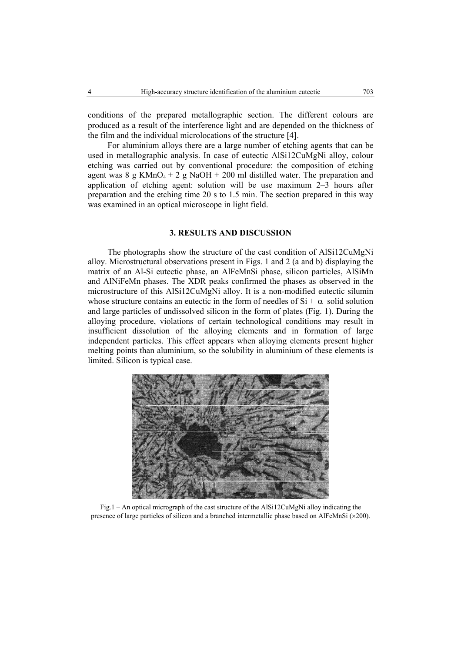conditions of the prepared metallographic section. The different colours are produced as a result of the interference light and are depended on the thickness of the film and the individual microlocations of the structure [4].

 For aluminium alloys there are a large number of etching agents that can be used in metallographic analysis. In case of eutectic AlSi12CuMgNi alloy, colour etching was carried out by conventional procedure: the composition of etching agent was 8 g KMnO<sub>4</sub> + 2 g NaOH + 200 ml distilled water. The preparation and application of etching agent: solution will be use maximum 2–3 hours after preparation and the etching time 20 s to 1.5 min. The section prepared in this way was examined in an optical microscope in light field.

## **3. RESULTS AND DISCUSSION**

The photographs show the structure of the cast condition of AlSi12CuMgNi alloy. Microstructural observations present in Figs. 1 and 2 (a and b) displaying the matrix of an Al-Si eutectic phase, an AlFeMnSi phase, silicon particles, AlSiMn and AlNiFeMn phases. The XDR peaks confirmed the phases as observed in the microstructure of this AlSi12CuMgNi alloy. It is a non-modified eutectic silumin whose structure contains an eutectic in the form of needles of  $Si + \alpha$  solid solution and large particles of undissolved silicon in the form of plates (Fig. 1). During the alloying procedure, violations of certain technological conditions may result in insufficient dissolution of the alloying elements and in formation of large independent particles. This effect appears when alloying elements present higher melting points than aluminium, so the solubility in aluminium of these elements is limited. Silicon is typical case.



Fig.1 – An optical micrograph of the cast structure of the AlSi12CuMgNi alloy indicating the presence of large particles of silicon and a branched intermetallic phase based on AlFeMnSi (×200).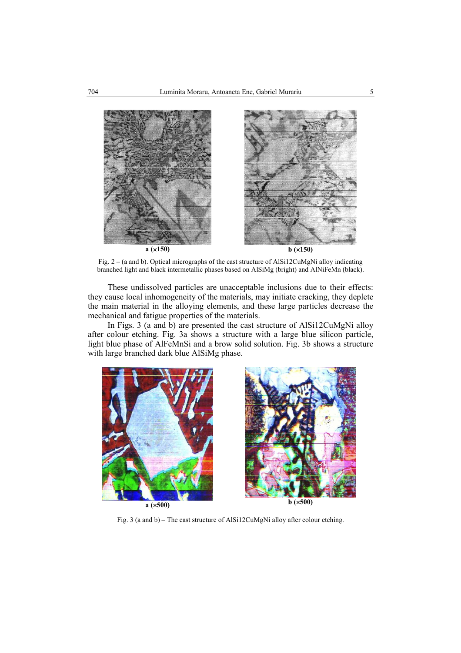

Fig. 2 – (a and b). Optical micrographs of the cast structure of AlSi12CuMgNi alloy indicating branched light and black intermetallic phases based on AlSiMg (bright) and AlNiFeMn (black).

These undissolved particles are unacceptable inclusions due to their effects: they cause local inhomogeneity of the materials, may initiate cracking, they deplete the main material in the alloying elements, and these large particles decrease the mechanical and fatigue properties of the materials.

In Figs. 3 (a and b) are presented the cast structure of AlSi12CuMgNi alloy after colour etching. Fig. 3a shows a structure with a large blue silicon particle, light blue phase of AlFeMnSi and a brow solid solution. Fig. 3b shows a structure with large branched dark blue AlSiMg phase.





Fig. 3 (a and b) – The cast structure of AlSi12CuMgNi alloy after colour etching.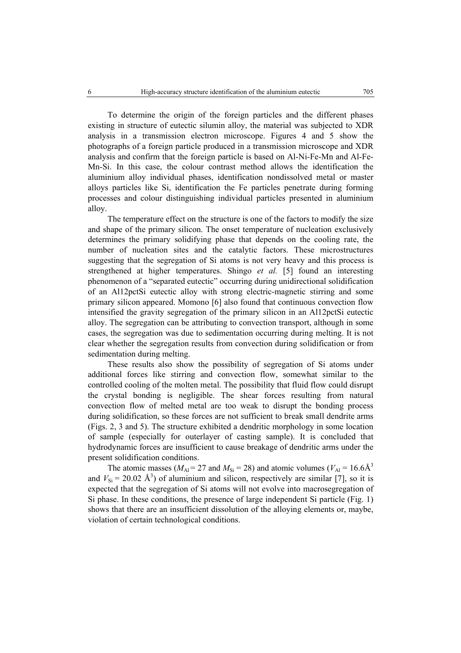To determine the origin of the foreign particles and the different phases existing in structure of eutectic silumin alloy, the material was subjected to XDR analysis in a transmission electron microscope. Figures 4 and 5 show the photographs of a foreign particle produced in a transmission microscope and XDR analysis and confirm that the foreign particle is based on Al-Ni-Fe-Mn and Al-Fe-Mn-Si. In this case, the colour contrast method allows the identification the aluminium alloy individual phases, identification nondissolved metal or master alloys particles like Si, identification the Fe particles penetrate during forming processes and colour distinguishing individual particles presented in aluminium alloy.

The temperature effect on the structure is one of the factors to modify the size and shape of the primary silicon. The onset temperature of nucleation exclusively determines the primary solidifying phase that depends on the cooling rate, the number of nucleation sites and the catalytic factors. These microstructures suggesting that the segregation of Si atoms is not very heavy and this process is strengthened at higher temperatures. Shingo *et al.* [5] found an interesting phenomenon of a "separated eutectic" occurring during unidirectional solidification of an Al12pctSi eutectic alloy with strong electric-magnetic stirring and some primary silicon appeared. Momono [6] also found that continuous convection flow intensified the gravity segregation of the primary silicon in an Al12pctSi eutectic alloy. The segregation can be attributing to convection transport, although in some cases, the segregation was due to sedimentation occurring during melting. It is not clear whether the segregation results from convection during solidification or from sedimentation during melting.

These results also show the possibility of segregation of Si atoms under additional forces like stirring and convection flow, somewhat similar to the controlled cooling of the molten metal. The possibility that fluid flow could disrupt the crystal bonding is negligible. The shear forces resulting from natural convection flow of melted metal are too weak to disrupt the bonding process during solidification, so these forces are not sufficient to break small dendrite arms (Figs. 2, 3 and 5). The structure exhibited a dendritic morphology in some location of sample (especially for outerlayer of casting sample). It is concluded that hydrodynamic forces are insufficient to cause breakage of dendritic arms under the present solidification conditions.

The atomic masses ( $M_{\text{Al}}$  = 27 and  $M_{\text{Si}}$  = 28) and atomic volumes ( $V_{\text{Al}}$  = 16.6Å<sup>3</sup> and  $V_{\text{Si}} = 20.02 \text{ Å}^3$ ) of aluminium and silicon, respectively are similar [7], so it is expected that the segregation of Si atoms will not evolve into macrosegregation of Si phase. In these conditions, the presence of large independent Si particle (Fig. 1) shows that there are an insufficient dissolution of the alloying elements or, maybe, violation of certain technological conditions.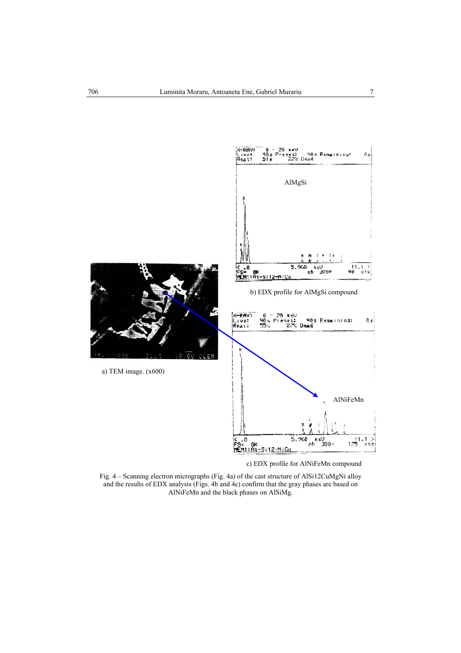

Fig. 4 – Scanning electron micrographs (Fig. 4a) of the cast structure of AlSi12CuMgNi alloy and the results of EDX analysis (Figs. 4b and 4c) confirm that the gray phases are based on AlNiFeMn and the black phases on AlSiMg.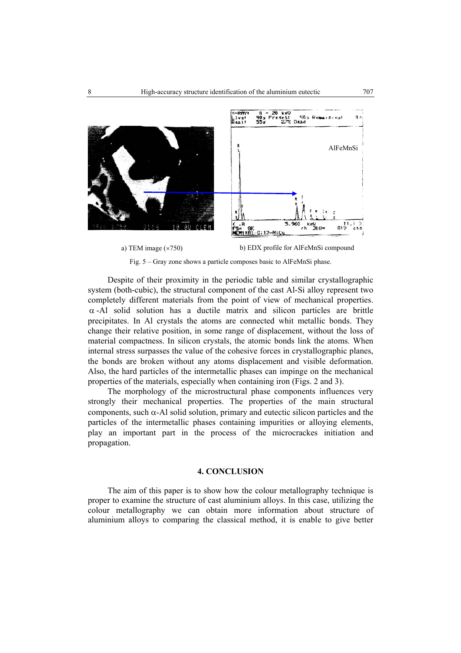

Fig. 5 – Gray zone shows a particle composes basic to AlFeMnSi phase.

Despite of their proximity in the periodic table and similar crystallographic system (both-cubic), the structural component of the cast Al-Si alloy represent two completely different materials from the point of view of mechanical properties.  $\alpha$ -Al solid solution has a ductile matrix and silicon particles are brittle precipitates. In Al crystals the atoms are connected whit metallic bonds. They change their relative position, in some range of displacement, without the loss of material compactness. In silicon crystals, the atomic bonds link the atoms. When internal stress surpasses the value of the cohesive forces in crystallographic planes, the bonds are broken without any atoms displacement and visible deformation. Also, the hard particles of the intermetallic phases can impinge on the mechanical properties of the materials, especially when containing iron (Figs. 2 and 3).

The morphology of the microstructural phase components influences very strongly their mechanical properties. The properties of the main structural components, such  $\alpha$ -Al solid solution, primary and eutectic silicon particles and the particles of the intermetallic phases containing impurities or alloying elements, play an important part in the process of the microcrackes initiation and propagation.

## **4. CONCLUSION**

The aim of this paper is to show how the colour metallography technique is proper to examine the structure of cast aluminium alloys. In this case, utilizing the colour metallography we can obtain more information about structure of aluminium alloys to comparing the classical method, it is enable to give better